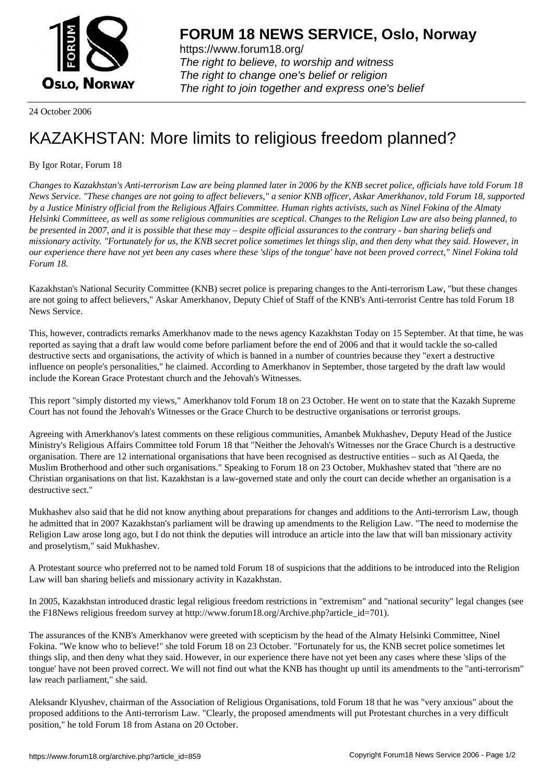

https://www.forum18.org/ The right to believe, to worship and witness The right to change one's belief or religion [The right to join together a](https://www.forum18.org/)nd express one's belief

24 October 2006

## [KAZAKHSTAN:](https://www.forum18.org) More limits to religious freedom planned?

By Igor Rotar, Forum 18

*Changes to Kazakhstan's Anti-terrorism Law are being planned later in 2006 by the KNB secret police, officials have told Forum 18 News Service. "These changes are not going to affect believers," a senior KNB officer, Askar Amerkhanov, told Forum 18, supported by a Justice Ministry official from the Religious Affairs Committee. Human rights activists, such as Ninel Fokina of the Almaty Helsinki Committeee, as well as some religious communities are sceptical. Changes to the Religion Law are also being planned, to be presented in 2007, and it is possible that these may – despite official assurances to the contrary - ban sharing beliefs and missionary activity. "Fortunately for us, the KNB secret police sometimes let things slip, and then deny what they said. However, in our experience there have not yet been any cases where these 'slips of the tongue' have not been proved correct," Ninel Fokina told Forum 18.*

Kazakhstan's National Security Committee (KNB) secret police is preparing changes to the Anti-terrorism Law, "but these changes are not going to affect believers," Askar Amerkhanov, Deputy Chief of Staff of the KNB's Anti-terrorist Centre has told Forum 18 News Service.

This, however, contradicts remarks Amerkhanov made to the news agency Kazakhstan Today on 15 September. At that time, he was reported as saying that a draft law would come before parliament before the end of 2006 and that it would tackle the so-called destructive sects and organisations, the activity of which is banned in a number of countries because they "exert a destructive influence on people's personalities," he claimed. According to Amerkhanov in September, those targeted by the draft law would include the Korean Grace Protestant church and the Jehovah's Witnesses.

This report "simply distorted my views," Amerkhanov told Forum 18 on 23 October. He went on to state that the Kazakh Supreme Court has not found the Jehovah's Witnesses or the Grace Church to be destructive organisations or terrorist groups.

Agreeing with Amerkhanov's latest comments on these religious communities, Amanbek Mukhashev, Deputy Head of the Justice Ministry's Religious Affairs Committee told Forum 18 that "Neither the Jehovah's Witnesses nor the Grace Church is a destructive organisation. There are 12 international organisations that have been recognised as destructive entities – such as Al Qaeda, the Muslim Brotherhood and other such organisations." Speaking to Forum 18 on 23 October, Mukhashev stated that "there are no Christian organisations on that list. Kazakhstan is a law-governed state and only the court can decide whether an organisation is a destructive sect."

Mukhashev also said that he did not know anything about preparations for changes and additions to the Anti-terrorism Law, though he admitted that in 2007 Kazakhstan's parliament will be drawing up amendments to the Religion Law. "The need to modernise the Religion Law arose long ago, but I do not think the deputies will introduce an article into the law that will ban missionary activity and proselytism," said Mukhashev.

A Protestant source who preferred not to be named told Forum 18 of suspicions that the additions to be introduced into the Religion Law will ban sharing beliefs and missionary activity in Kazakhstan.

In 2005, Kazakhstan introduced drastic legal religious freedom restrictions in "extremism" and "national security" legal changes (see the F18News religious freedom survey at http://www.forum18.org/Archive.php?article\_id=701).

The assurances of the KNB's Amerkhanov were greeted with scepticism by the head of the Almaty Helsinki Committee, Ninel Fokina. "We know who to believe!" she told Forum 18 on 23 October. "Fortunately for us, the KNB secret police sometimes let things slip, and then deny what they said. However, in our experience there have not yet been any cases where these 'slips of the tongue' have not been proved correct. We will not find out what the KNB has thought up until its amendments to the "anti-terrorism" law reach parliament," she said.

Aleksandr Klyushev, chairman of the Association of Religious Organisations, told Forum 18 that he was "very anxious" about the proposed additions to the Anti-terrorism Law. "Clearly, the proposed amendments will put Protestant churches in a very difficult position," he told Forum 18 from Astana on 20 October.